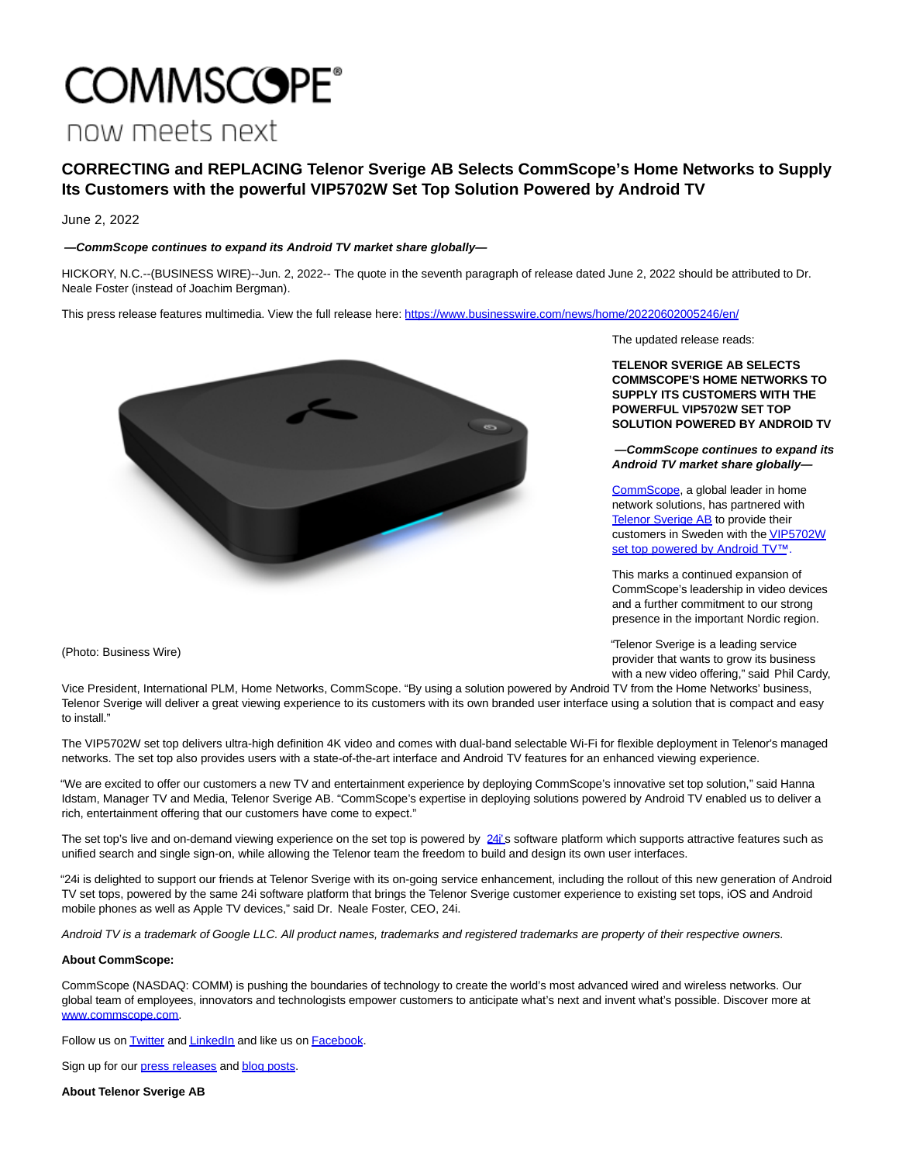# **COMMSCOPE®** now meets next

## **CORRECTING and REPLACING Telenor Sverige AB Selects CommScope's Home Networks to Supply Its Customers with the powerful VIP5702W Set Top Solution Powered by Android TV**

June 2, 2022

### **—CommScope continues to expand its Android TV market share globally—**

HICKORY, N.C.--(BUSINESS WIRE)--Jun. 2, 2022-- The quote in the seventh paragraph of release dated June 2, 2022 should be attributed to Dr. Neale Foster (instead of Joachim Bergman).

This press release features multimedia. View the full release here:<https://www.businesswire.com/news/home/20220602005246/en/>



The updated release reads:

**TELENOR SVERIGE AB SELECTS COMMSCOPE'S HOME NETWORKS TO SUPPLY ITS CUSTOMERS WITH THE POWERFUL VIP5702W SET TOP SOLUTION POWERED BY ANDROID TV**

**—CommScope continues to expand its Android TV market share globally—**

[CommScope,](https://cts.businesswire.com/ct/CT?id=smartlink&url=https%3A%2F%2Fwww.commscope.com%2F&esheet=52737234&newsitemid=20220602005246&lan=en-US&anchor=CommScope&index=1&md5=6453eef37ffe7d897b79eafacaf59ad8) a global leader in home network solutions, has partnered with [Telenor Sverige AB t](https://cts.businesswire.com/ct/CT?id=smartlink&url=http%3A%2F%2Fwww.telenor.se&esheet=52737234&newsitemid=20220602005246&lan=en-US&anchor=Telenor+Sverige+AB&index=2&md5=05c800d28b8476a28ea834cbd2df8d4f)o provide their customers in Sweden with th[e VIP5702W](https://cts.businesswire.com/ct/CT?id=smartlink&url=https%3A%2F%2Fwww.androidtv-guide.com%2Fpay-tv-provider%2Ftelenor-mediahubb%2F&esheet=52737234&newsitemid=20220602005246&lan=en-US&anchor=VIP5702W+set+top+powered+by+Android+TV%26%238482%3B.&index=3&md5=2cc0e5aed5e5276f8c459021c63495a5) set top powered by Android TV™.

This marks a continued expansion of CommScope's leadership in video devices and a further commitment to our strong presence in the important Nordic region.

"Telenor Sverige is a leading service provider that wants to grow its business with a new video offering," said Phil Cardy,

(Photo: Business Wire)

Vice President, International PLM, Home Networks, CommScope. "By using a solution powered by Android TV from the Home Networks' business, Telenor Sverige will deliver a great viewing experience to its customers with its own branded user interface using a solution that is compact and easy to install."

The VIP5702W set top delivers ultra-high definition 4K video and comes with dual-band selectable Wi-Fi for flexible deployment in Telenor's managed networks. The set top also provides users with a state-of-the-art interface and Android TV features for an enhanced viewing experience.

"We are excited to offer our customers a new TV and entertainment experience by deploying CommScope's innovative set top solution," said Hanna Idstam, Manager TV and Media, Telenor Sverige AB. "CommScope's expertise in deploying solutions powered by Android TV enabled us to deliver a rich, entertainment offering that our customers have come to expect."

The set top's live and on-demand viewing experience on the set top is powered by [24i'](https://cts.businesswire.com/ct/CT?id=smartlink&url=https%3A%2F%2Fwww.24i.com%2F&esheet=52737234&newsitemid=20220602005246&lan=en-US&anchor=24i%26%238217%3B&index=4&md5=d5f18975d15445c00c326d9e3f016621)s software platform which supports attractive features such as unified search and single sign-on, while allowing the Telenor team the freedom to build and design its own user interfaces.

"24i is delighted to support our friends at Telenor Sverige with its on-going service enhancement, including the rollout of this new generation of Android TV set tops, powered by the same 24i software platform that brings the Telenor Sverige customer experience to existing set tops, iOS and Android mobile phones as well as Apple TV devices," said Dr. Neale Foster, CEO, 24i.

Android TV is a trademark of Google LLC. All product names, trademarks and registered trademarks are property of their respective owners.

### **About CommScope:**

CommScope (NASDAQ: COMM) is pushing the boundaries of technology to create the world's most advanced wired and wireless networks. Our global team of employees, innovators and technologists empower customers to anticipate what's next and invent what's possible. Discover more at [www.commscope.com.](https://cts.businesswire.com/ct/CT?id=smartlink&url=http%3A%2F%2Fwww.commscope.com&esheet=52737234&newsitemid=20220602005246&lan=en-US&anchor=www.commscope.com&index=5&md5=31f2ea80090815fc9bd468facf11ad6b)

Follow us on **Twitter** and **LinkedIn** and like us on **Facebook**.

Sign up for our [press releases a](https://cts.businesswire.com/ct/CT?id=smartlink&url=https%3A%2F%2Fwww.commscope.com%2Fsubscribe-press-releases%2F%3Futm_medium%3Dsocial%26utm_source%3Dpress%2520release%26utm_campaign%3Dglobal-oc-pr-subscription-link&esheet=52737234&newsitemid=20220602005246&lan=en-US&anchor=press+releases&index=9&md5=499c702d58fdfc03c81308c54e4b1f58)n[d blog posts.](https://cts.businesswire.com/ct/CT?id=smartlink&url=https%3A%2F%2Fwww.commscope.com%2Fsubscribe-blog%2F%3Futm_medium%3Dsocial%26utm_source%3Dpress%2520release%26utm_campaign%3Dglobal-oc-blog-subscription-link&esheet=52737234&newsitemid=20220602005246&lan=en-US&anchor=blog+posts&index=10&md5=387782dc3d9950a57526b86af4512ee5)

**About Telenor Sverige AB**